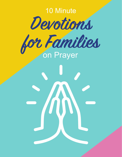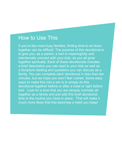# How to Use This

If you're like most busy families, finding time to sit down together can be difficult. The purpose of this devotional is to give you, as a parent, a tool to meaningfully and intentionally connect with your kids, as you all grow together spiritually. Each of these devotionals includes a brief description you can read to your kids as well as a Scripture reading and questions you can discuss as a family. You can complete each devotional in less than ten minutes, but we hope you won't feel rushed. Some easy ways to make this into a win is to simply do this devotional together before or after a meal or right before bed. Look for a time that you are already normally all together as a family and just add this brief devotional time to the routine you have in place. That will make it much more likely that this becomes a habit you keep!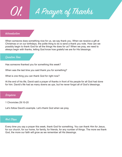01. A Prayer of Thanks

## Intrroduction

When someone does something nice for us, we say thank you. When we receive a gift at Christmas or on our birthdays, the polite thing to do is send a thank you note. How can we possibly begin to thank God for all the things He does for us? When we pray, we need to always begin with thanks, letting God know how grateful we are for His blessings.

#### Question Time

Has someone thanked you for something this week?

When was the last time you said thank you for something?

What is one thing you can thank God for right now?

At the end of his life, David said a prayer of thanks in front of his people for all God had done for him. David's life had as many downs as ups, but he never forgot all of God's blessings.

## Scripture

1 Chronicles 29:10-20

Let's follow David's example. Let's thank God when we pray.

# Next Steps

Every time you say a prayer this week, thank God for something. You can thank Him for Jesus, for our church, for our home, for family, for friends, for any number of things. The more we thank God, the more our faith will grow as we remember all His blessings.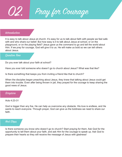02. Pray for Courage

#### Intrroduction

It is easy to talk about Jesus at church. It's easy for us to talk about faith with people we feel safe with and who share our belief. But how easy is it to talk about Jesus at school, or on the playground, or on the playing field? Jesus gave us the command to go and tell the world about Him. If we pray for courage, God will give it to us. He will make us bold so we can tell others about Jesus.

#### Question Time

Do you ever talk about your faith at school?

Have you ever told someone who doesn't go to church about Jesus? What was that like?

Is there something that keeps you from inviting a friend like that to church?

When the disciples began preaching about Jesus, they knew that talking about Jesus could get them into trouble. Even after being thrown in jail, they prayed for the courage to keep sharing the good news of Jesus.

#### Scripture

#### Acts 4:23-31

God is bigger than any foe. He can help us overcome any obstacle. His love is endless, and He wants to reach everyone. Through prayer, God can give us the boldness we need to share our faith.

## Next Steps

Is there someone you know who doesn't go to church? Start praying for them. Ask God for the opportunity to tell them about your faith, and ask Him for the courage to speak up. Ask God to prepare their hearts so they will receive the message of Jesus with gladness!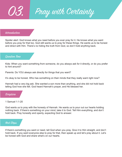Pray with Certainty

#### Intrroduction

Spoiler alert: God knows what you need before you ever pray for it. He knows what you want before you pray for that too. God still wants us to pray for these things. He wants us to be honest and direct with Him. There's no hiding the truth from God, so don't hold anything back.

## Question Time

Kids: When you want something from someone, do you always ask for it directly, or do you prefer to hint around?

Parents: Do YOU always ask directly for things that you want?

It's okay to be honest. Who has something on their minds that they really want right now?

Hannah had a very big ask. She wanted a son more than anything, and she did not hold back telling God how she felt. God heard Hannah's prayer, and He blessed her.

#### Scripture

1 Samuel 1:1-20

God wants us to pray with the honesty of Hannah. He wants us to pour out our hearts holding nothing back. If there's something on your mind, take it to God. Tell Him everything, and don't hold back. Pray honestly and openly, expecting God to answer.

## Next Steps

If there's something you want or need, tell God when you pray. Give it to Him straight, and don't hold back. If you want everyone else to pray for that, then speak up and let's pray about it. Let's be honest with God and share what's on our hearts.